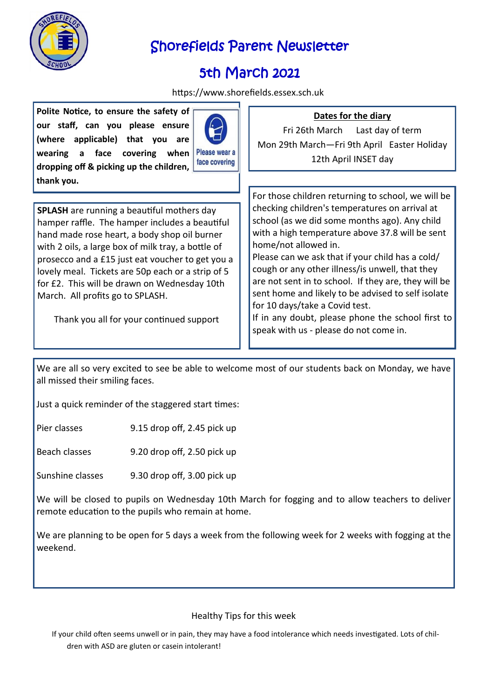

# Shorefields Parent Newsletter

# 5th March 2021

https://www.shorefields.essex.sch.uk

**Polite Notice, to ensure the safety of our staff, can you please ensure (where applicable) that you are wearing a face covering when dropping off & picking up the children, thank you.**



Please wear a face covering

**SPLASH** are running a beautiful mothers day hamper raffle. The hamper includes a beautiful hand made rose heart, a body shop oil burner with 2 oils, a large box of milk tray, a bottle of prosecco and a £15 just eat voucher to get you a lovely meal. Tickets are 50p each or a strip of 5 for £2. This will be drawn on Wednesday 10th March. All profits go to SPLASH.

Thank you all for your continued support

For those children returning to school, we will be checking children's temperatures on arrival at school (as we did some months ago). Any child with a high temperature above 37.8 will be sent home/not allowed in.

Please can we ask that if your child has a cold/ cough or any other illness/is unwell, that they are not sent in to school. If they are, they will be sent home and likely to be advised to self isolate for 10 days/take a Covid test.

If in any doubt, please phone the school first to speak with us - please do not come in.

We are all so very excited to see be able to welcome most of our students back on Monday, we have all missed their smiling faces.

Just a quick reminder of the staggered start times:

Pier classes 9.15 drop off, 2.45 pick up

Beach classes 9.20 drop off, 2.50 pick up

Sunshine classes 9.30 drop off, 3.00 pick up

We will be closed to pupils on Wednesday 10th March for fogging and to allow teachers to deliver remote education to the pupils who remain at home.

We are planning to be open for 5 days a week from the following week for 2 weeks with fogging at the weekend.

#### Healthy Tips for this week

If your child often seems unwell or in pain, they may have a food intolerance which needs investigated. Lots of children with ASD are gluten or casein intolerant!

### **Dates for the diary**

Fri 26th March Last day of term Mon 29th March—Fri 9th April Easter Holiday 12th April INSET day